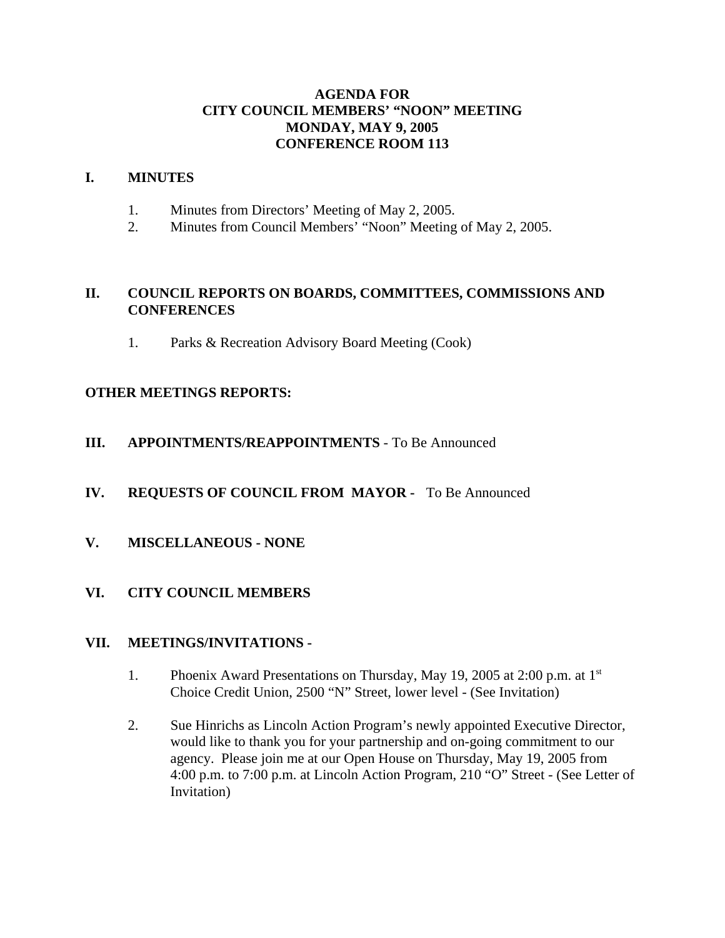## **AGENDA FOR CITY COUNCIL MEMBERS' "NOON" MEETING MONDAY, MAY 9, 2005 CONFERENCE ROOM 113**

### **I. MINUTES**

- 1. Minutes from Directors' Meeting of May 2, 2005.
- 2. Minutes from Council Members' "Noon" Meeting of May 2, 2005.

## **II. COUNCIL REPORTS ON BOARDS, COMMITTEES, COMMISSIONS AND CONFERENCES**

1. Parks & Recreation Advisory Board Meeting (Cook)

## **OTHER MEETINGS REPORTS:**

- **III. APPOINTMENTS/REAPPOINTMENTS**  To Be Announced
- **IV. REQUESTS OF COUNCIL FROM MAYOR** To Be Announced
- **V. MISCELLANEOUS NONE**
- **VI. CITY COUNCIL MEMBERS**

## **VII. MEETINGS/INVITATIONS -**

- 1. Phoenix Award Presentations on Thursday, May 19, 2005 at 2:00 p.m. at 1<sup>st</sup> Choice Credit Union, 2500 "N" Street, lower level - (See Invitation)
- 2. Sue Hinrichs as Lincoln Action Program's newly appointed Executive Director, would like to thank you for your partnership and on-going commitment to our agency. Please join me at our Open House on Thursday, May 19, 2005 from 4:00 p.m. to 7:00 p.m. at Lincoln Action Program, 210 "O" Street - (See Letter of Invitation)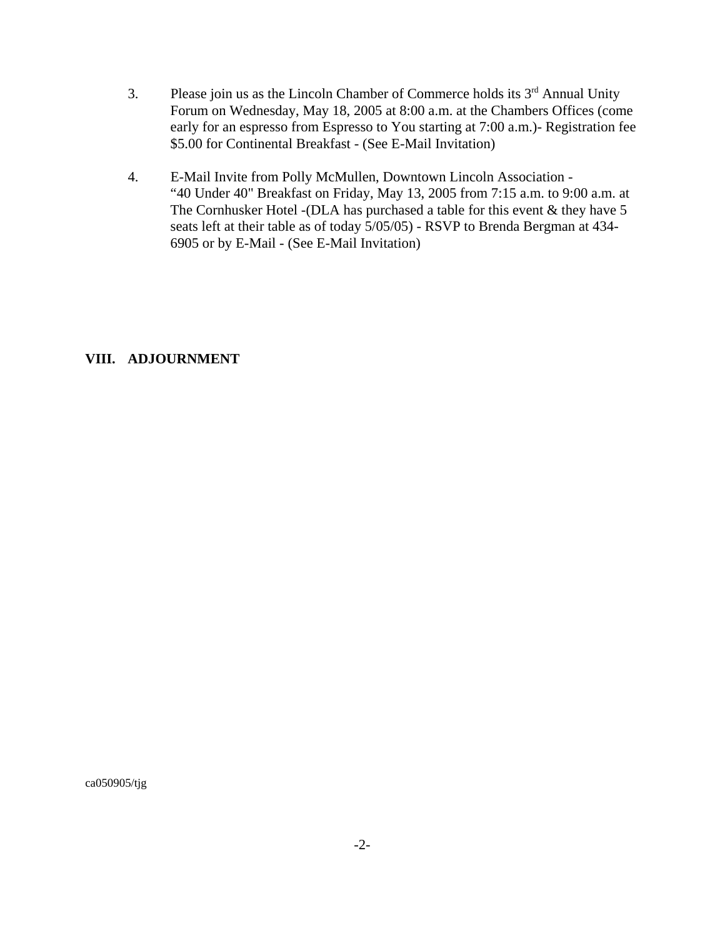- 3. Please join us as the Lincoln Chamber of Commerce holds its  $3<sup>rd</sup>$  Annual Unity Forum on Wednesday, May 18, 2005 at 8:00 a.m. at the Chambers Offices (come early for an espresso from Espresso to You starting at 7:00 a.m.)- Registration fee \$5.00 for Continental Breakfast - (See E-Mail Invitation)
- 4. E-Mail Invite from Polly McMullen, Downtown Lincoln Association "40 Under 40" Breakfast on Friday, May 13, 2005 from 7:15 a.m. to 9:00 a.m. at The Cornhusker Hotel -(DLA has purchased a table for this event & they have 5 seats left at their table as of today 5/05/05) - RSVP to Brenda Bergman at 434- 6905 or by E-Mail - (See E-Mail Invitation)

## **VIII. ADJOURNMENT**

ca050905/tjg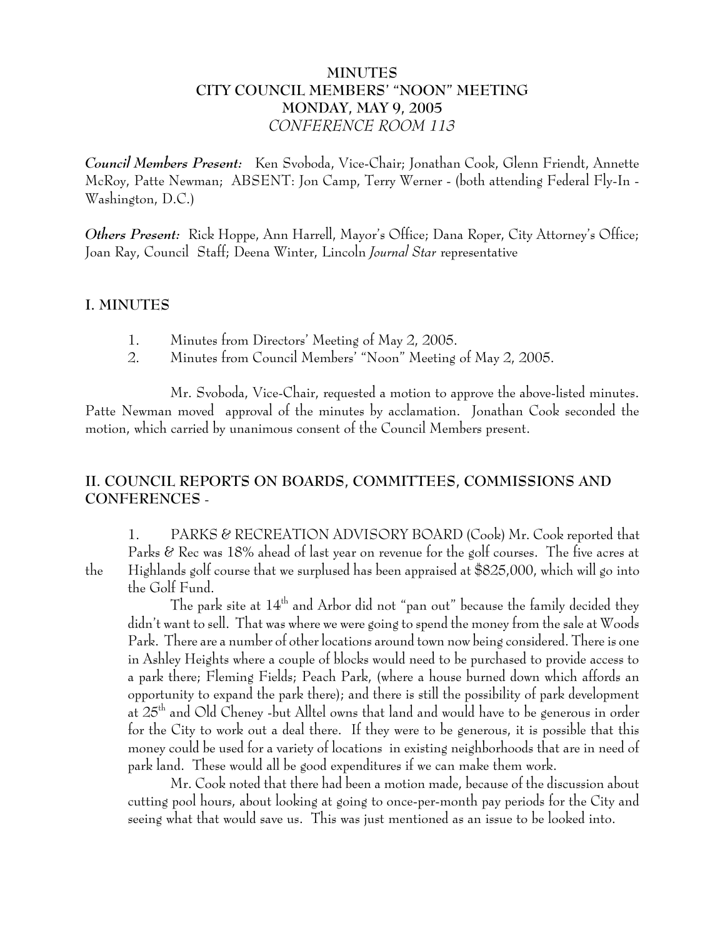## **MINUTES CITY COUNCIL MEMBERS' "NOON" MEETING MONDAY, MAY 9, 2005** *CONFERENCE ROOM 113*

*Council Members Present:* Ken Svoboda, Vice-Chair; Jonathan Cook, Glenn Friendt, Annette McRoy, Patte Newman; ABSENT: Jon Camp, Terry Werner - (both attending Federal Fly-In - Washington, D.C.)

*Others Present:* Rick Hoppe, Ann Harrell, Mayor's Office; Dana Roper, City Attorney's Office; Joan Ray, Council Staff; Deena Winter, Lincoln *Journal Star* representative

## **I. MINUTES**

- 1. Minutes from Directors' Meeting of May 2, 2005.
- 2. Minutes from Council Members' "Noon" Meeting of May 2, 2005.

Mr. Svoboda, Vice-Chair, requested a motion to approve the above-listed minutes. Patte Newman moved approval of the minutes by acclamation. Jonathan Cook seconded the motion, which carried by unanimous consent of the Council Members present.

# **II. COUNCIL REPORTS ON BOARDS, COMMITTEES, COMMISSIONS AND CONFERENCES** -

1. PARKS & RECREATION ADVISORY BOARD (Cook) Mr. Cook reported that Parks & Rec was 18% ahead of last year on revenue for the golf courses. The five acres at the Highlands golf course that we surplused has been appraised at \$825,000, which will go into the Golf Fund.

The park site at  $14<sup>th</sup>$  and Arbor did not "pan out" because the family decided they didn't want to sell. That was where we were going to spend the money from the sale at Woods Park. There are a number of other locations around town now being considered. There is one in Ashley Heights where a couple of blocks would need to be purchased to provide access to a park there; Fleming Fields; Peach Park, (where a house burned down which affords an opportunity to expand the park there); and there is still the possibility of park development at 25th and Old Cheney -but Alltel owns that land and would have to be generous in order for the City to work out a deal there. If they were to be generous, it is possible that this money could be used for a variety of locations in existing neighborhoods that are in need of park land. These would all be good expenditures if we can make them work.

Mr. Cook noted that there had been a motion made, because of the discussion about cutting pool hours, about looking at going to once-per-month pay periods for the City and seeing what that would save us. This was just mentioned as an issue to be looked into.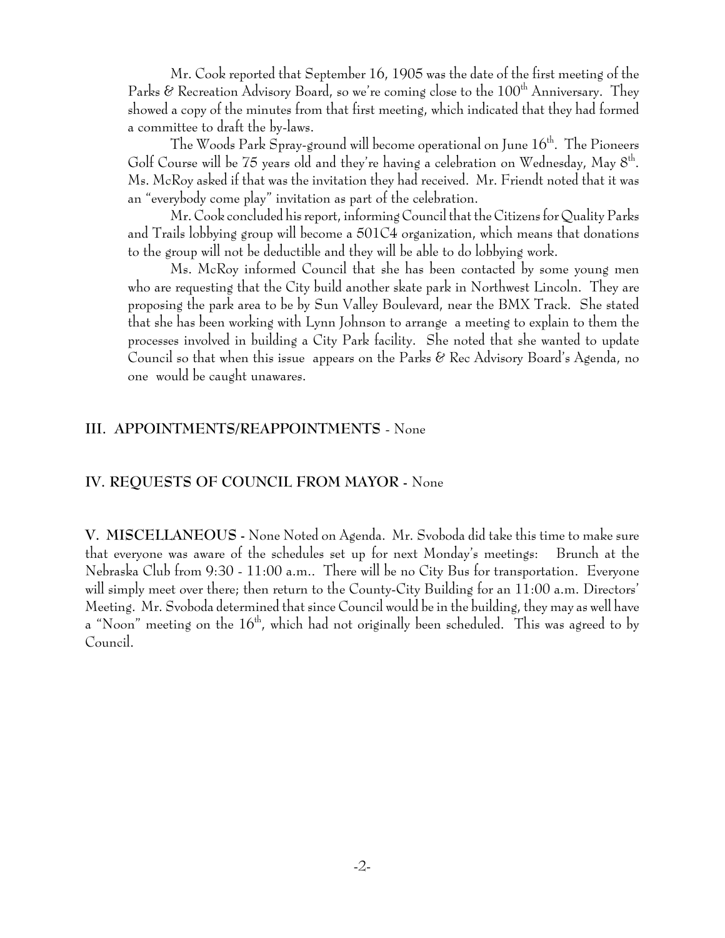Mr. Cook reported that September 16, 1905 was the date of the first meeting of the Parks  $\&$  Recreation Advisory Board, so we're coming close to the  $100<sup>th</sup>$  Anniversary. They showed a copy of the minutes from that first meeting, which indicated that they had formed a committee to draft the by-laws.

The Woods Park Spray-ground will become operational on June  $16<sup>th</sup>$ . The Pioneers Golf Course will be 75 years old and they're having a celebration on Wednesday, May  $8<sup>th</sup>$ . Ms. McRoy asked if that was the invitation they had received. Mr. Friendt noted that it was an "everybody come play" invitation as part of the celebration.

Mr. Cook concluded his report, informing Council that the Citizens for Quality Parks and Trails lobbying group will become a 501C4 organization, which means that donations to the group will not be deductible and they will be able to do lobbying work.

Ms. McRoy informed Council that she has been contacted by some young men who are requesting that the City build another skate park in Northwest Lincoln. They are proposing the park area to be by Sun Valley Boulevard, near the BMX Track. She stated that she has been working with Lynn Johnson to arrange a meeting to explain to them the processes involved in building a City Park facility. She noted that she wanted to update Council so that when this issue appears on the Parks & Rec Advisory Board's Agenda, no one would be caught unawares.

#### **III. APPOINTMENTS/REAPPOINTMENTS** - None

#### **IV. REQUESTS OF COUNCIL FROM MAYOR -** None

**V. MISCELLANEOUS -** None Noted on Agenda. Mr. Svoboda did take this time to make sure that everyone was aware of the schedules set up for next Monday's meetings: Brunch at the Nebraska Club from 9:30 - 11:00 a.m.. There will be no City Bus for transportation. Everyone will simply meet over there; then return to the County-City Building for an 11:00 a.m. Directors' Meeting. Mr. Svoboda determined that since Council would be in the building, they may as well have a "Noon" meeting on the  $16<sup>th</sup>$ , which had not originally been scheduled. This was agreed to by Council.